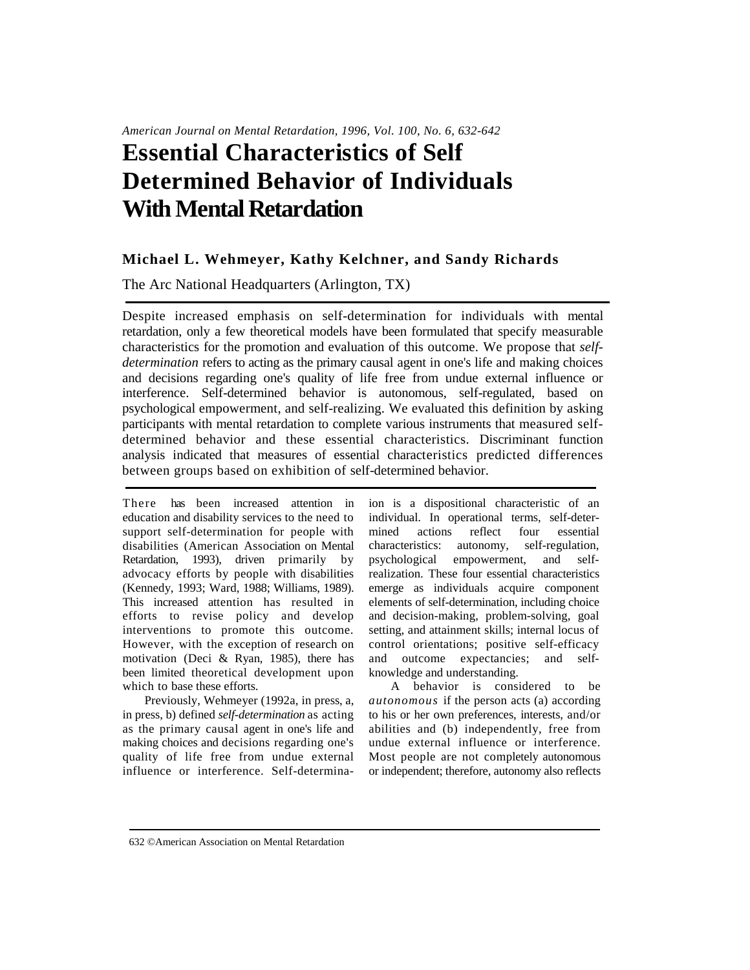# **Essential Characteristics of Self Determined Behavior of Individuals With Mental Retardation**

### **Michael L. Wehmeyer, Kathy Kelchner, and Sandy Richards**

The Arc National Headquarters (Arlington, TX)

Despite increased emphasis on self-determination for individuals with mental retardation, only a few theoretical models have been formulated that specify measurable characteristics for the promotion and evaluation of this outcome. We propose that *selfdetermination* refers to acting as the primary causal agent in one's life and making choices and decisions regarding one's quality of life free from undue external influence or interference. Self-determined behavior is autonomous, self-regulated, based on psychological empowerment, and self-realizing. We evaluated this definition by asking participants with mental retardation to complete various instruments that measured selfdetermined behavior and these essential characteristics. Discriminant function analysis indicated that measures of essential characteristics predicted differences between groups based on exhibition of self-determined behavior.

There has been increased attention in education and disability services to the need to support self-determination for people with disabilities (American Association on Mental Retardation, 1993), driven primarily by advocacy efforts by people with disabilities (Kennedy, 1993; Ward, 1988; Williams, 1989). This increased attention has resulted in efforts to revise policy and develop interventions to promote this outcome. However, with the exception of research on motivation (Deci & Ryan, 1985), there has been limited theoretical development upon which to base these efforts.

Previously, Wehmeyer (1992a, in press, a, in press, b) defined *self-determination* as acting as the primary causal agent in one's life and making choices and decisions regarding one's quality of life free from undue external influence or interference. Self-determinaion is a dispositional characteristic of an individual. In operational terms, self-determined actions reflect four essential characteristics: autonomy, self-regulation, psychological empowerment, and selfrealization. These four essential characteristics emerge as individuals acquire component elements of self-determination, including choice and decision-making, problem-solving, goal setting, and attainment skills; internal locus of control orientations; positive self-efficacy and outcome expectancies; and selfknowledge and understanding.

A behavior is considered to be *autonomous* if the person acts (a) according to his or her own preferences, interests, and/or abilities and (b) independently, free from undue external influence or interference. Most people are not completely autonomous or independent; therefore, autonomy also reflects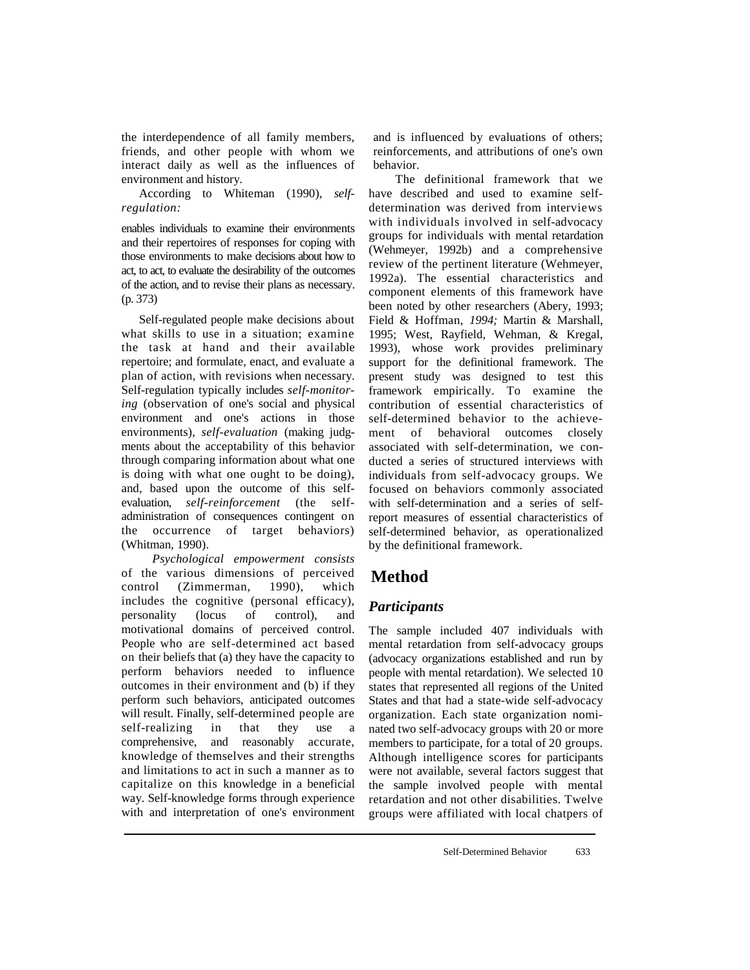the interdependence of all family members, friends, and other people with whom we interact daily as well as the influences of environment and history.

According to Whiteman (1990), *selfregulation:* 

enables individuals to examine their environments and their repertoires of responses for coping with those environments to make decisions about how to act, to act, to evaluate the desirability of the outcomes of the action, and to revise their plans as necessary. (p. 373)

Self-regulated people make decisions about what skills to use in a situation; examine the task at hand and their available repertoire; and formulate, enact, and evaluate a plan of action, with revisions when necessary. Self-regulation typically includes *self-monitoring* (observation of one's social and physical environment and one's actions in those environments), *self-evaluation* (making judgments about the acceptability of this behavior through comparing information about what one is doing with what one ought to be doing), and, based upon the outcome of this selfevaluation, *self-reinforcement* (the selfadministration of consequences contingent on the occurrence of target behaviors) (Whitman, 1990).

*Psychological empowerment consists*  of the various dimensions of perceived control (Zimmerman, 1990), which includes the cognitive (personal efficacy), personality (locus of control), and motivational domains of perceived control. People who are self-determined act based on their beliefs that (a) they have the capacity to perform behaviors needed to influence outcomes in their environment and (b) if they perform such behaviors, anticipated outcomes will result. Finally, self-determined people are self-realizing in that they use a comprehensive, and reasonably accurate, knowledge of themselves and their strengths and limitations to act in such a manner as to capitalize on this knowledge in a beneficial way. Self-knowledge forms through experience with and interpretation of one's environment and is influenced by evaluations of others; reinforcements, and attributions of one's own behavior.

The definitional framework that we have described and used to examine selfdetermination was derived from interviews with individuals involved in self-advocacy groups for individuals with mental retardation (Wehmeyer, 1992b) and a comprehensive review of the pertinent literature (Wehmeyer, 1992a). The essential characteristics and component elements of this framework have been noted by other researchers (Abery, 1993; Field & Hoffman, *1994;* Martin & Marshall, 1995; West, Rayfield, Wehman, & Kregal, 1993), whose work provides preliminary support for the definitional framework. The present study was designed to test this framework empirically. To examine the contribution of essential characteristics of self-determined behavior to the achievement of behavioral outcomes closely associated with self-determination, we conducted a series of structured interviews with individuals from self-advocacy groups. We focused on behaviors commonly associated with self-determination and a series of selfreport measures of essential characteristics of self-determined behavior, as operationalized by the definitional framework.

# **Method**

## *Participants*

The sample included 407 individuals with mental retardation from self-advocacy groups (advocacy organizations established and run by people with mental retardation). We selected 10 states that represented all regions of the United States and that had a state-wide self-advocacy organization. Each state organization nominated two self-advocacy groups with 20 or more members to participate, for a total of 20 groups. Although intelligence scores for participants were not available, several factors suggest that the sample involved people with mental retardation and not other disabilities. Twelve groups were affiliated with local chatpers of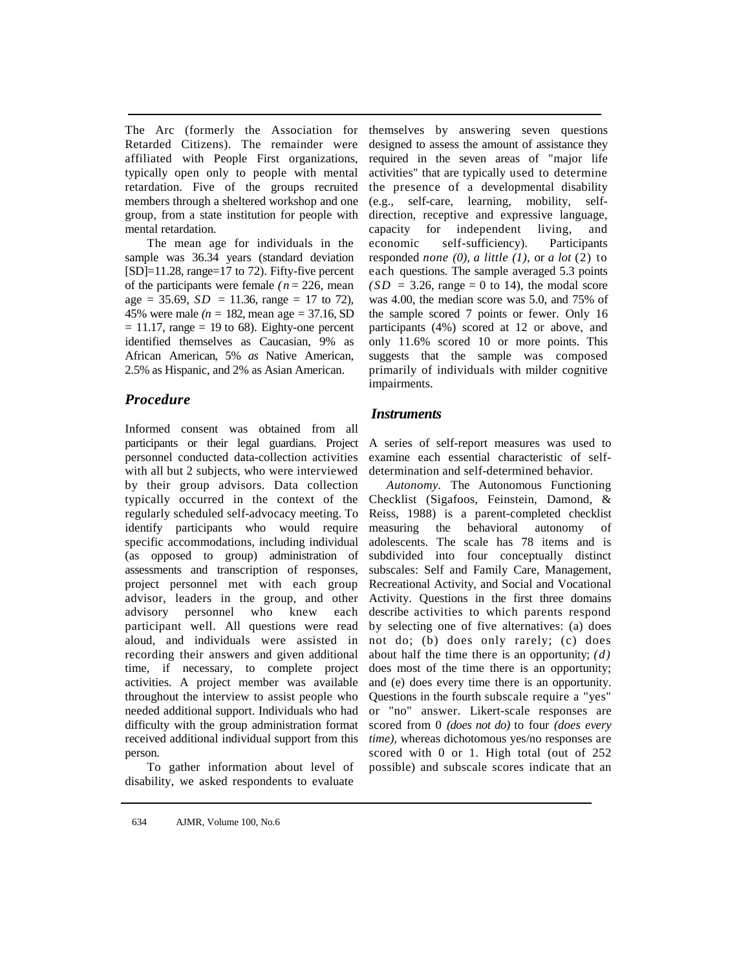The Arc (formerly the Association for Retarded Citizens). The remainder were affiliated with People First organizations, typically open only to people with mental retardation. Five of the groups recruited members through a sheltered workshop and one group, from a state institution for people with mental retardation.

The mean age for individuals in the sample was 36.34 years (standard deviation  $[SD]=11.28$ , range=17 to 72). Fifty-five percent of the participants were female *(n=* 226, mean  $age = 35.69$ ,  $SD = 11.36$ , range = 17 to 72), 45% were male  $(n = 182, \text{ mean age} = 37.16, SD)$  $= 11.17$ , range  $= 19$  to 68). Eighty-one percent identified themselves as Caucasian, 9% as African American, 5% *as* Native American, 2.5% as Hispanic, and 2% as Asian American.

### *Procedure*

Informed consent was obtained from all participants or their legal guardians. Project personnel conducted data-collection activities with all but 2 subjects, who were interviewed by their group advisors. Data collection typically occurred in the context of the regularly scheduled self-advocacy meeting. To identify participants who would require specific accommodations, including individual (as opposed to group) administration of assessments and transcription of responses, project personnel met with each group advisor, leaders in the group, and other advisory personnel who knew each participant well. All questions were read aloud, and individuals were assisted in recording their answers and given additional time, if necessary, to complete project activities. A project member was available throughout the interview to assist people who needed additional support. Individuals who had difficulty with the group administration format received additional individual support from this person.

To gather information about level of disability, we asked respondents to evaluate

themselves by answering seven questions designed to assess the amount of assistance they required in the seven areas of "major life activities" that are typically used to determine the presence of a developmental disability (e.g., self-care, learning, mobility, selfdirection, receptive and expressive language, capacity for independent living, and economic self-sufficiency). Participants responded *none (0), a little (1),* or *a lot* (2) to each questions. The sample averaged 5.3 points  $(SD = 3.26$ , range = 0 to 14), the modal score was 4.00, the median score was 5.0, and 75% of the sample scored 7 points or fewer. Only 16 participants (4%) scored at 12 or above, and only 11.6% scored 10 or more points. This suggests that the sample was composed primarily of individuals with milder cognitive impairments.

### *Instruments*

A series of self-report measures was used to examine each essential characteristic of selfdetermination and self-determined behavior.

*Autonomy.* The Autonomous Functioning Checklist (Sigafoos, Feinstein, Damond, & Reiss, 1988) is a parent-completed checklist measuring the behavioral autonomy of adolescents. The scale has 78 items and is subdivided into four conceptually distinct subscales: Self and Family Care, Management, Recreational Activity, and Social and Vocational Activity. Questions in the first three domains describe activities to which parents respond by selecting one of five alternatives: (a) does not do; (b) does only rarely; (c) does about half the time there is an opportunity; *(d)*  does most of the time there is an opportunity; and (e) does every time there is an opportunity. Questions in the fourth subscale require a "yes" or "no" answer. Likert-scale responses are scored from 0 *(does not do)* to four *(does every time),* whereas dichotomous yes/no responses are scored with 0 or 1. High total (out of 252) possible) and subscale scores indicate that an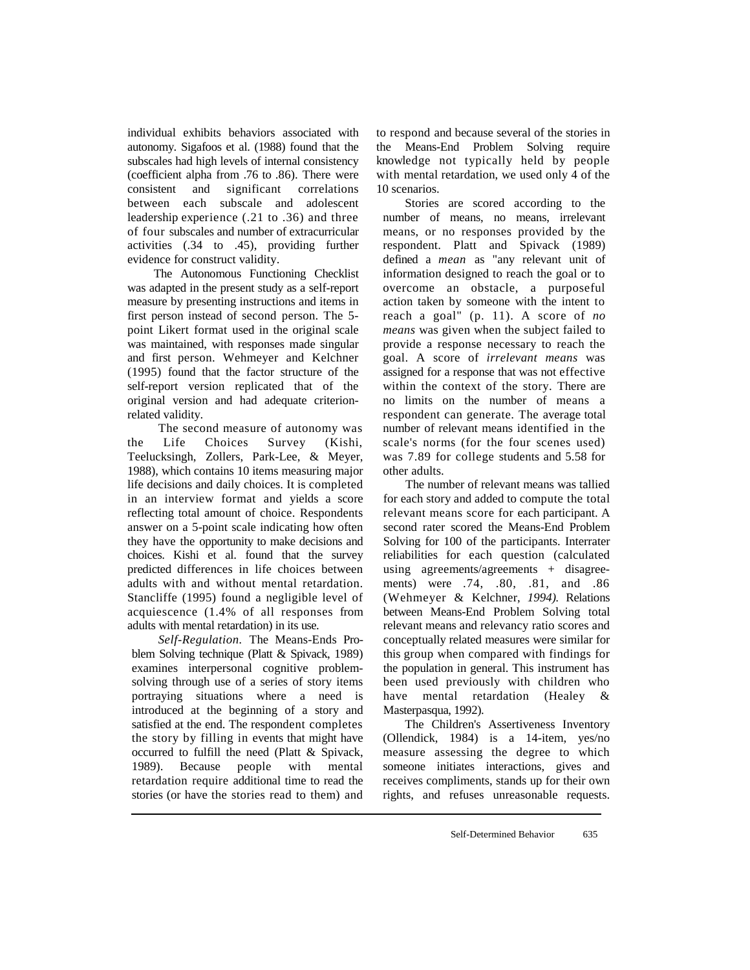individual exhibits behaviors associated with autonomy. Sigafoos et al. (1988) found that the subscales had high levels of internal consistency (coefficient alpha from .76 to .86). There were consistent and significant correlations between each subscale and adolescent leadership experience (.21 to .36) and three of four subscales and number of extracurricular activities (.34 to .45), providing further evidence for construct validity.

The Autonomous Functioning Checklist was adapted in the present study as a self-report measure by presenting instructions and items in first person instead of second person. The 5 point Likert format used in the original scale was maintained, with responses made singular and first person. Wehmeyer and Kelchner (1995) found that the factor structure of the self-report version replicated that of the original version and had adequate criterionrelated validity.

The second measure of autonomy was the Life Choices Survey (Kishi, Teelucksingh, Zollers, Park-Lee, & Meyer, 1988), which contains 10 items measuring major life decisions and daily choices. It is completed in an interview format and yields a score reflecting total amount of choice. Respondents answer on a 5-point scale indicating how often they have the opportunity to make decisions and choices. Kishi et al. found that the survey predicted differences in life choices between adults with and without mental retardation. Stancliffe (1995) found a negligible level of acquiescence (1.4% of all responses from adults with mental retardation) in its use.

*Self-Regulation.* The Means-Ends Problem Solving technique (Platt & Spivack, 1989) examines interpersonal cognitive problemsolving through use of a series of story items portraying situations where a need is introduced at the beginning of a story and satisfied at the end. The respondent completes the story by filling in events that might have occurred to fulfill the need (Platt & Spivack, 1989). Because people with mental retardation require additional time to read the stories (or have the stories read to them) and

to respond and because several of the stories in the Means-End Problem Solving require knowledge not typically held by people with mental retardation, we used only 4 of the 10 scenarios.

Stories are scored according to the number of means, no means, irrelevant means, or no responses provided by the respondent. Platt and Spivack (1989) defined a *mean* as "any relevant unit of information designed to reach the goal or to overcome an obstacle, a purposeful action taken by someone with the intent to reach a goal" (p. 11). A score of *no means* was given when the subject failed to provide a response necessary to reach the goal. A score of *irrelevant means* was assigned for a response that was not effective within the context of the story. There are no limits on the number of means a respondent can generate. The average total number of relevant means identified in the scale's norms (for the four scenes used) was 7.89 for college students and 5.58 for other adults.

The number of relevant means was tallied for each story and added to compute the total relevant means score for each participant. A second rater scored the Means-End Problem Solving for 100 of the participants. Interrater reliabilities for each question (calculated using agreements/agreements + disagreements) were .74, .80, .81, and .86 (Wehmeyer & Kelchner, *1994).* Relations between Means-End Problem Solving total relevant means and relevancy ratio scores and conceptually related measures were similar for this group when compared with findings for the population in general. This instrument has been used previously with children who have mental retardation (Healey & Masterpasqua, 1992).

The Children's Assertiveness Inventory (Ollendick, 1984) is a 14-item, yes/no measure assessing the degree to which someone initiates interactions, gives and receives compliments, stands up for their own rights, and refuses unreasonable requests.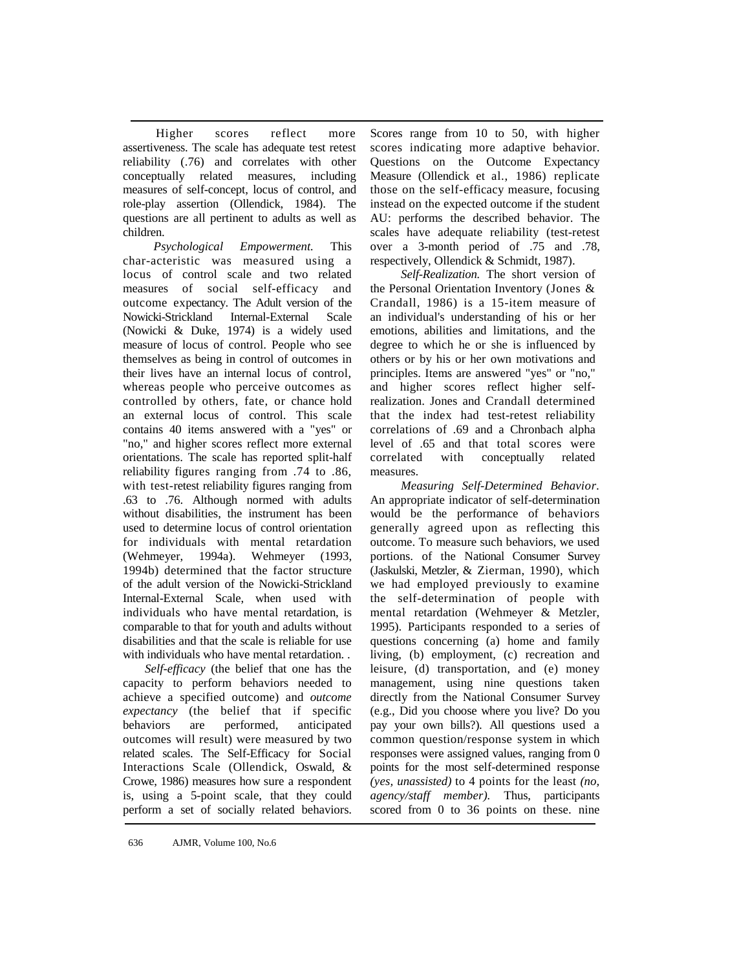Higher scores reflect more assertiveness. The scale has adequate test retest reliability (.76) and correlates with other conceptually related measures, including measures of self-concept, locus of control, and role-play assertion (Ollendick, 1984). The questions are all pertinent to adults as well as children.

*Psychological Empowerment.* This char-acteristic was measured using a locus of control scale and two related measures of social self-efficacy and outcome expectancy. The Adult version of the Nowicki-Strickland Internal-External Scale (Nowicki & Duke, 1974) is a widely used measure of locus of control. People who see themselves as being in control of outcomes in their lives have an internal locus of control, whereas people who perceive outcomes as controlled by others, fate, or chance hold an external locus of control. This scale contains 40 items answered with a "yes" or "no," and higher scores reflect more external orientations. The scale has reported split-half reliability figures ranging from .74 to .86, with test-retest reliability figures ranging from .63 to .76. Although normed with adults without disabilities, the instrument has been used to determine locus of control orientation for individuals with mental retardation (Wehmeyer, 1994a). Wehmeyer (1993, 1994b) determined that the factor structure of the adult version of the Nowicki-Strickland Internal-External Scale, when used with individuals who have mental retardation, is comparable to that for youth and adults without disabilities and that the scale is reliable for use with individuals who have mental retardation...

*Self-efficacy* (the belief that one has the capacity to perform behaviors needed to achieve a specified outcome) and *outcome expectancy* (the belief that if specific behaviors are performed, anticipated outcomes will result) were measured by two related scales. The Self-Efficacy for Social Interactions Scale (Ollendick, Oswald, & Crowe, 1986) measures how sure a respondent is, using a 5-point scale, that they could perform a set of socially related behaviors. Scores range from 10 to 50, with higher scores indicating more adaptive behavior. Questions on the Outcome Expectancy Measure (Ollendick et al., 1986) replicate those on the self-efficacy measure, focusing instead on the expected outcome if the student AU: performs the described behavior. The scales have adequate reliability (test-retest over a 3-month period of .75 and .78, respectively, Ollendick & Schmidt, 1987).

*Self-Realization.* The short version of the Personal Orientation Inventory (Jones & Crandall, 1986) is a 15-item measure of an individual's understanding of his or her emotions, abilities and limitations, and the degree to which he or she is influenced by others or by his or her own motivations and principles. Items are answered "yes" or "no," and higher scores reflect higher selfrealization. Jones and Crandall determined that the index had test-retest reliability correlations of .69 and a Chronbach alpha level of .65 and that total scores were correlated with conceptually related measures.

*Measuring Self-Determined Behavior.*  An appropriate indicator of self-determination would be the performance of behaviors generally agreed upon as reflecting this outcome. To measure such behaviors, we used portions. of the National Consumer Survey (Jaskulski, Metzler, & Zierman, 1990), which we had employed previously to examine the self-determination of people with mental retardation (Wehmeyer & Metzler, 1995). Participants responded to a series of questions concerning (a) home and family living, (b) employment, (c) recreation and leisure, (d) transportation, and (e) money management, using nine questions taken directly from the National Consumer Survey (e.g., Did you choose where you live? Do you pay your own bills?). All questions used a common question/response system in which responses were assigned values, ranging from 0 points for the most self-determined response *(yes, unassisted)* to 4 points for the least *(no, agency/staff member).* Thus, participants scored from 0 to 36 points on these. nine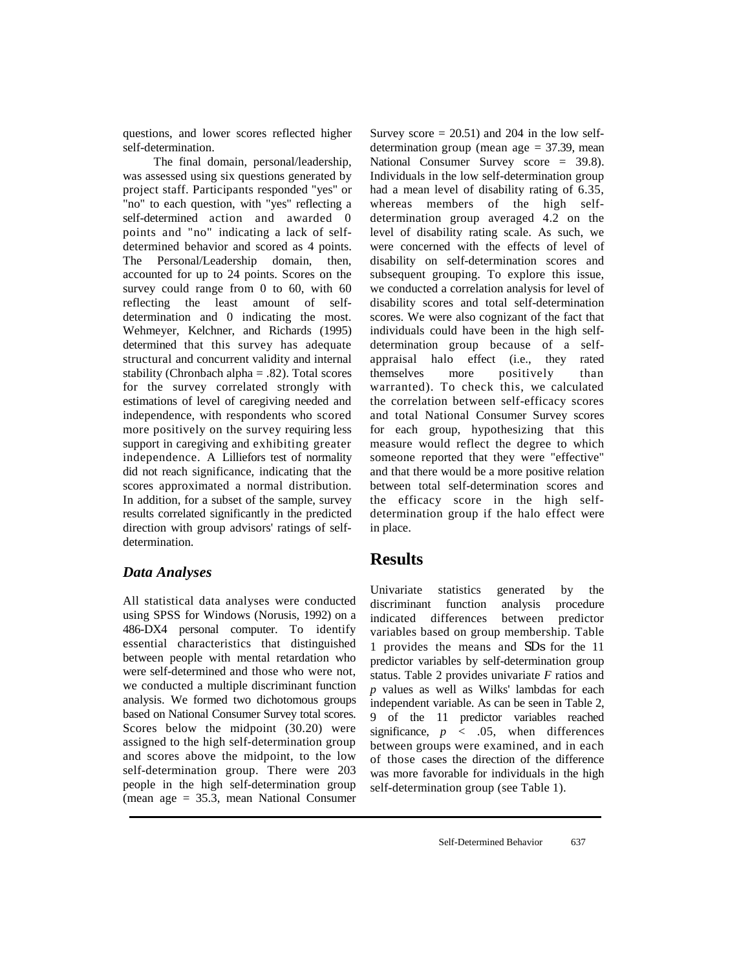questions, and lower scores reflected higher self-determination.

The final domain, personal/leadership, was assessed using six questions generated by project staff. Participants responded "yes" or "no" to each question, with "yes" reflecting a self-determined action and awarded 0 points and "no" indicating a lack of selfdetermined behavior and scored as 4 points. The Personal/Leadership domain, then, accounted for up to 24 points. Scores on the survey could range from 0 to 60, with 60 reflecting the least amount of selfdetermination and 0 indicating the most. Wehmeyer, Kelchner, and Richards (1995) determined that this survey has adequate structural and concurrent validity and internal stability (Chronbach alpha = .82). Total scores for the survey correlated strongly with estimations of level of caregiving needed and independence, with respondents who scored more positively on the survey requiring less support in caregiving and exhibiting greater independence. A Lilliefors test of normality did not reach significance, indicating that the scores approximated a normal distribution. In addition, for a subset of the sample, survey results correlated significantly in the predicted direction with group advisors' ratings of selfdetermination.

#### *Data Analyses*

All statistical data analyses were conducted using SPSS for Windows (Norusis, 1992) on a 486-DX4 personal computer. To identify essential characteristics that distinguished between people with mental retardation who were self-determined and those who were not, we conducted a multiple discriminant function analysis. We formed two dichotomous groups based on National Consumer Survey total scores. Scores below the midpoint (30.20) were assigned to the high self-determination group and scores above the midpoint, to the low self-determination group. There were 203 people in the high self-determination group (mean age = 35.3, mean National Consumer Survey score  $= 20.51$ ) and 204 in the low selfdetermination group (mean age  $=$  37.39, mean National Consumer Survey score = 39.8). Individuals in the low self-determination group had a mean level of disability rating of 6.35, whereas members of the high selfdetermination group averaged 4.2 on the level of disability rating scale. As such, we were concerned with the effects of level of disability on self-determination scores and subsequent grouping. To explore this issue, we conducted a correlation analysis for level of disability scores and total self-determination scores. We were also cognizant of the fact that individuals could have been in the high selfdetermination group because of a selfappraisal halo effect (i.e., they rated themselves more positively than warranted). To check this, we calculated the correlation between self-efficacy scores and total National Consumer Survey scores for each group, hypothesizing that this measure would reflect the degree to which someone reported that they were "effective" and that there would be a more positive relation between total self-determination scores and the efficacy score in the high selfdetermination group if the halo effect were in place.

### **Results**

Univariate statistics generated by the discriminant function analysis procedure indicated differences between predictor variables based on group membership. Table 1 provides the means and *SDs* for the 11 predictor variables by self-determination group status. Table 2 provides univariate *F* ratios and *p* values as well as Wilks' lambdas for each independent variable. As can be seen in Table 2, 9 of the 11 predictor variables reached significance,  $p \leq .05$ , when differences between groups were examined, and in each of those cases the direction of the difference was more favorable for individuals in the high self-determination group (see Table 1).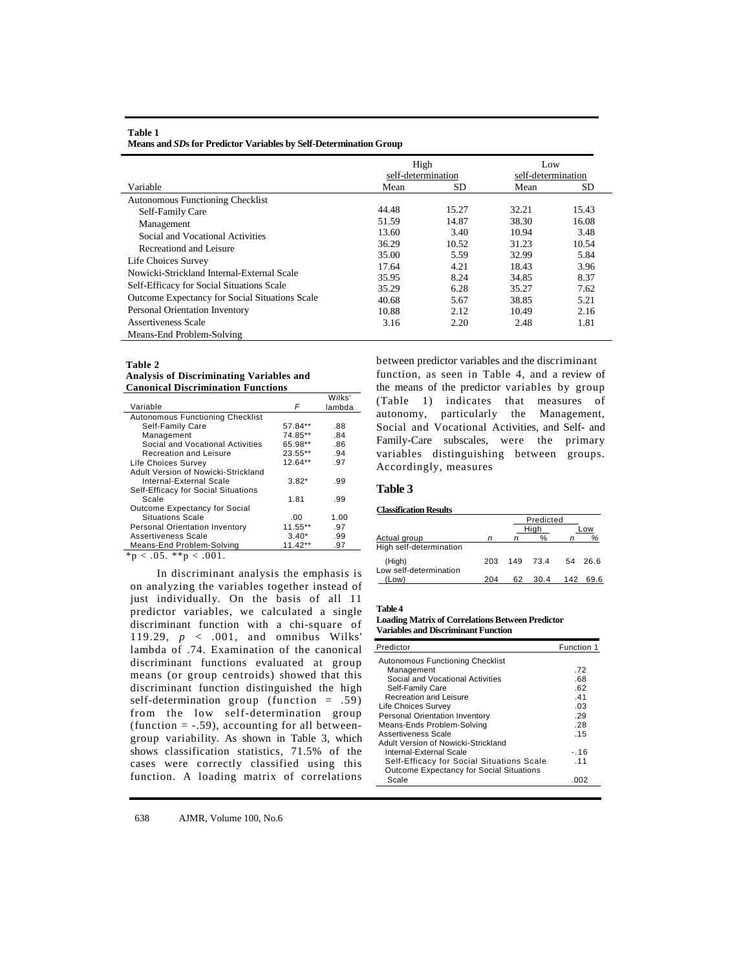| Variable                                       | High<br>self-determination<br>SD<br>Mean |       | Low<br>self-determination<br>Mean<br>SD |       |
|------------------------------------------------|------------------------------------------|-------|-----------------------------------------|-------|
| Autonomous Functioning Checklist               |                                          |       |                                         |       |
| Self-Family Care                               | 44.48                                    | 15.27 | 32.21                                   | 15.43 |
| Management                                     | 51.59                                    | 14.87 | 38.30                                   | 16.08 |
| Social and Vocational Activities               | 13.60                                    | 3.40  | 10.94                                   | 3.48  |
| Recreationd and Leisure                        | 36.29                                    | 10.52 | 31.23                                   | 10.54 |
|                                                | 35.00                                    | 5.59  | 32.99                                   | 5.84  |
| Life Choices Survey                            | 17.64                                    | 4.21  | 18.43                                   | 3.96  |
| Nowicki-Strickland Internal-External Scale     | 35.95                                    | 8.24  | 34.85                                   | 8.37  |
| Self-Efficacy for Social Situations Scale      | 35.29                                    | 6.28  | 35.27                                   | 7.62  |
| Outcome Expectancy for Social Situations Scale | 40.68                                    | 5.67  | 38.85                                   | 5.21  |
| Personal Orientation Inventory                 | 10.88                                    | 2.12  | 10.49                                   | 2.16  |
| Assertiveness Scale                            | 3.16                                     | 2.20  | 2.48                                    | 1.81  |
| Means-End Problem-Solving                      |                                          |       |                                         |       |

**Means and** *SD***s for Predictor Variables by Self-Determination Group** 

#### **Table 2**

**Table 1** 

**Analysis of Discriminating Variables and Canonical Discrimination Functions** 

|                                         |           | Wilks' |
|-----------------------------------------|-----------|--------|
| Variable                                | F         | lambda |
| <b>Autonomous Functioning Checklist</b> |           |        |
| Self-Family Care                        | 57.84**   | .88    |
| Management                              | 74.85**   | .84    |
| Social and Vocational Activities        | 65.98**   | .86    |
| <b>Recreation and Leisure</b>           | 23.55**   | .94    |
| Life Choices Survey                     | $12.64**$ | .97    |
| Adult Version of Nowicki-Strickland     |           |        |
| Internal-External Scale                 | $3.82*$   | .99    |
| Self-Efficacy for Social Situations     |           |        |
| Scale                                   | 1.81      | .99    |
| Outcome Expectancy for Social           |           |        |
| Situations Scale                        | .00       | 1.00   |
| Personal Orientation Inventory          | 11.55**   | .97    |
| Assertiveness Scale                     | $3.40*$   | .99    |
| Means-End Problem-Solving               | 11.42**   | .97    |

 $*<sub>p</sub> < .05.$   $*<sub>p</sub> < .001.$ 

In discriminant analysis the emphasis is on analyzing the variables together instead of just individually. On the basis of all 11 predictor variables, we calculated a single discriminant function with a chi-square of 119.29, *p* < .001, and omnibus Wilks' lambda of .74. Examination of the canonical discriminant functions evaluated at group means (or group centroids) showed that this discriminant function distinguished the high self-determination group (function = .59) from the low self-determination group  $(function = -.59)$ , accounting for all betweengroup variability. As shown in Table 3, which shows classification statistics, 71.5% of the cases were correctly classified using this function. A loading matrix of correlations

between predictor variables and the discriminant function, as seen in Table 4, and a review of the means of the predictor variables by group (Table 1) indicates that measures of autonomy, particularly the Management, Social and Vocational Activities, and Self- and Family-Care subscales, were the primary variables distinguishing between groups. Accordingly, measures

#### **Table 3**

#### **Classification Results**

|                                  |     |     | Predicted |     |      |
|----------------------------------|-----|-----|-----------|-----|------|
|                                  |     |     | Hiah      |     | -ow  |
| Actual group                     |     | n   | %         | n   | %    |
| High self-determination          |     |     |           |     |      |
| (High)<br>Low self-determination | 203 | 149 | 73.4      | 54  | 26.6 |
| (Low)                            | 204 | 62  | 30.4      | 142 | 69.6 |

#### **Table 4**

**Loading Matrix of Correlations Between Predictor Variables and Discriminant Function** 

| Predictor                                 | Function 1 |
|-------------------------------------------|------------|
| <b>Autonomous Functioning Checklist</b>   |            |
| Management                                | .72        |
| Social and Vocational Activities          | .68        |
| Self-Family Care                          | .62        |
| Recreation and Leisure                    | 41         |
| <b>Life Choices Survey</b>                | .03        |
| <b>Personal Orientation Inventory</b>     | .29        |
| Means-Ends Problem-Solving                | .28        |
| Assertiveness Scale                       | .15        |
| Adult Version of Nowicki-Strickland       |            |
| Internal-External Scale                   | $-.16$     |
| Self-Efficacy for Social Situations Scale | 11         |
| Outcome Expectancy for Social Situations  |            |
| Scale                                     | .002       |
|                                           |            |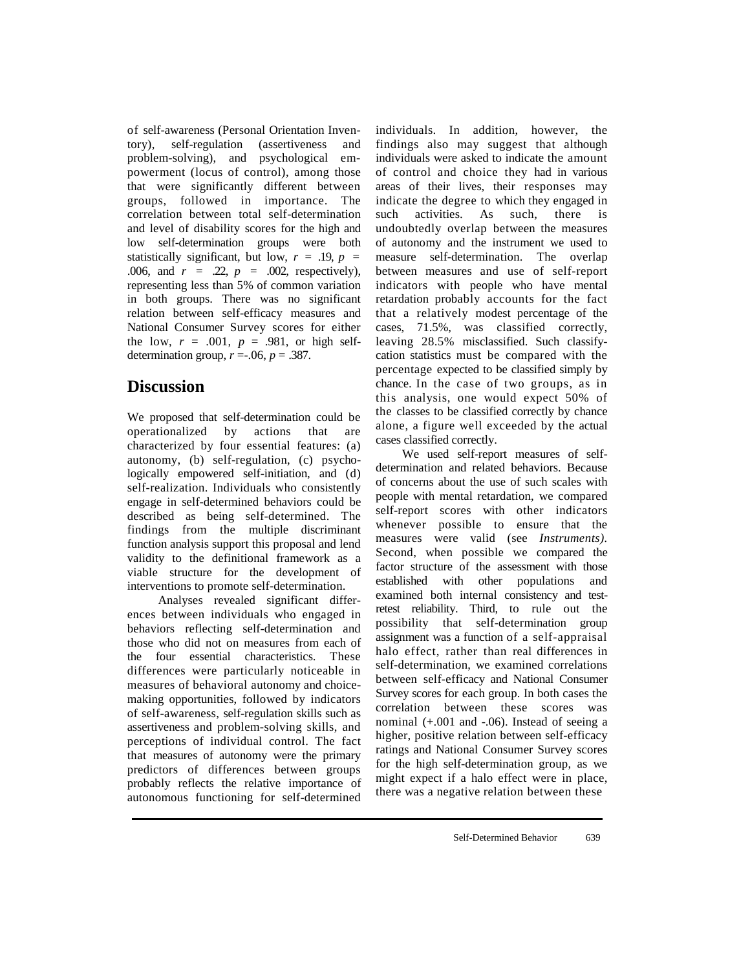of self-awareness (Personal Orientation Inventory), self-regulation (assertiveness and problem-solving), and psychological empowerment (locus of control), among those that were significantly different between groups, followed in importance. The correlation between total self-determination and level of disability scores for the high and low self-determination groups were both statistically significant, but low,  $r = .19$ ,  $p =$ .006, and  $r = 0.22$ ,  $p = 0.002$ , respectively), representing less than 5% of common variation in both groups. There was no significant relation between self-efficacy measures and National Consumer Survey scores for either the low,  $r = .001$ ,  $p = .981$ , or high selfdetermination group,  $r = .06$ ,  $p = .387$ .

# **Discussion**

We proposed that self-determination could be operationalized by actions that are characterized by four essential features: (a) autonomy, (b) self-regulation, (c) psychologically empowered self-initiation, and (d) self-realization. Individuals who consistently engage in self-determined behaviors could be described as being self-determined. The findings from the multiple discriminant function analysis support this proposal and lend validity to the definitional framework as a viable structure for the development of interventions to promote self-determination.

Analyses revealed significant differences between individuals who engaged in behaviors reflecting self-determination and those who did not on measures from each of the four essential characteristics. These differences were particularly noticeable in measures of behavioral autonomy and choicemaking opportunities, followed by indicators of self-awareness, self-regulation skills such as assertiveness and problem-solving skills, and perceptions of individual control. The fact that measures of autonomy were the primary predictors of differences between groups probably reflects the relative importance of autonomous functioning for self-determined individuals. In addition, however, the findings also may suggest that although individuals were asked to indicate the amount of control and choice they had in various areas of their lives, their responses may indicate the degree to which they engaged in such activities. As such, there is undoubtedly overlap between the measures of autonomy and the instrument we used to measure self-determination. The overlap between measures and use of self-report indicators with people who have mental retardation probably accounts for the fact that a relatively modest percentage of the cases, 71.5%, was classified correctly, leaving 28.5% misclassified. Such classifycation statistics must be compared with the percentage expected to be classified simply by chance. In the case of two groups, as in this analysis, one would expect 50% of the classes to be classified correctly by chance alone, a figure well exceeded by the actual cases classified correctly.

We used self-report measures of selfdetermination and related behaviors. Because of concerns about the use of such scales with people with mental retardation, we compared self-report scores with other indicators whenever possible to ensure that the measures were valid (see *Instruments).*  Second, when possible we compared the factor structure of the assessment with those established with other populations and examined both internal consistency and testretest reliability. Third, to rule out the possibility that self-determination group assignment was a function of a self-appraisal halo effect, rather than real differences in self-determination, we examined correlations between self-efficacy and National Consumer Survey scores for each group. In both cases the correlation between these scores was nominal (+.001 and -.06). Instead of seeing a higher, positive relation between self-efficacy ratings and National Consumer Survey scores for the high self-determination group, as we might expect if a halo effect were in place, there was a negative relation between these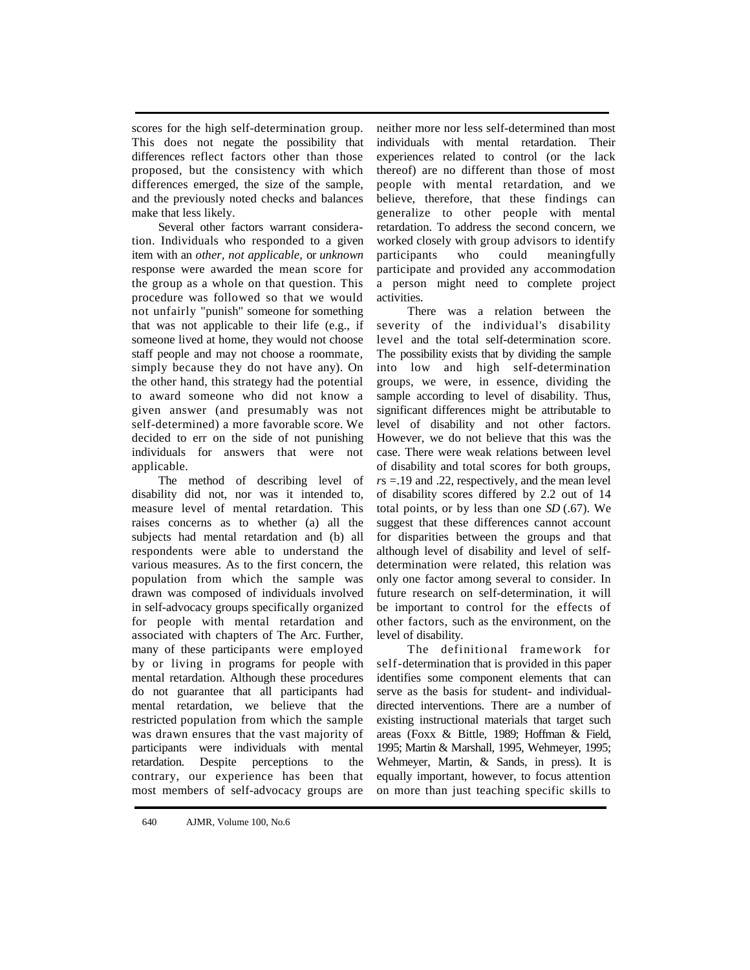scores for the high self-determination group. This does not negate the possibility that differences reflect factors other than those proposed, but the consistency with which differences emerged, the size of the sample, and the previously noted checks and balances make that less likely.

Several other factors warrant consideration. Individuals who responded to a given item with an *other, not applicable,* or *unknown*  response were awarded the mean score for the group as a whole on that question. This procedure was followed so that we would not unfairly "punish" someone for something that was not applicable to their life (e.g., if someone lived at home, they would not choose staff people and may not choose a roommate, simply because they do not have any). On the other hand, this strategy had the potential to award someone who did not know a given answer (and presumably was not self-determined) a more favorable score. We decided to err on the side of not punishing individuals for answers that were not applicable.

The method of describing level of disability did not, nor was it intended to, measure level of mental retardation. This raises concerns as to whether (a) all the subjects had mental retardation and (b) all respondents were able to understand the various measures. As to the first concern, the population from which the sample was drawn was composed of individuals involved in self-advocacy groups specifically organized for people with mental retardation and associated with chapters of The Arc. Further, many of these participants were employed by or living in programs for people with mental retardation. Although these procedures do not guarantee that all participants had mental retardation, we believe that the restricted population from which the sample was drawn ensures that the vast majority of participants were individuals with mental retardation. Despite perceptions to the contrary, our experience has been that most members of self-advocacy groups are

neither more nor less self-determined than most individuals with mental retardation. Their experiences related to control (or the lack thereof) are no different than those of most people with mental retardation, and we believe, therefore, that these findings can generalize to other people with mental retardation. To address the second concern, we worked closely with group advisors to identify participants who could meaningfully participate and provided any accommodation a person might need to complete project activities.

There was a relation between the severity of the individual's disability level and the total self-determination score. The possibility exists that by dividing the sample into low and high self-determination groups, we were, in essence, dividing the sample according to level of disability. Thus, significant differences might be attributable to level of disability and not other factors. However, we do not believe that this was the case. There were weak relations between level of disability and total scores for both groups, *r*s = 19 and .22, respectively, and the mean level of disability scores differed by 2.2 out of 14 total points, or by less than one *SD* (.67). We suggest that these differences cannot account for disparities between the groups and that although level of disability and level of selfdetermination were related, this relation was only one factor among several to consider. In future research on self-determination, it will be important to control for the effects of other factors, such as the environment, on the level of disability.

The definitional framework for self-determination that is provided in this paper identifies some component elements that can serve as the basis for student- and individualdirected interventions. There are a number of existing instructional materials that target such areas (Foxx & Bittle, 1989; Hoffman & Field, 1995; Martin & Marshall, 1995, Wehmeyer, 1995; Wehmeyer, Martin, & Sands, in press). It is equally important, however, to focus attention on more than just teaching specific skills to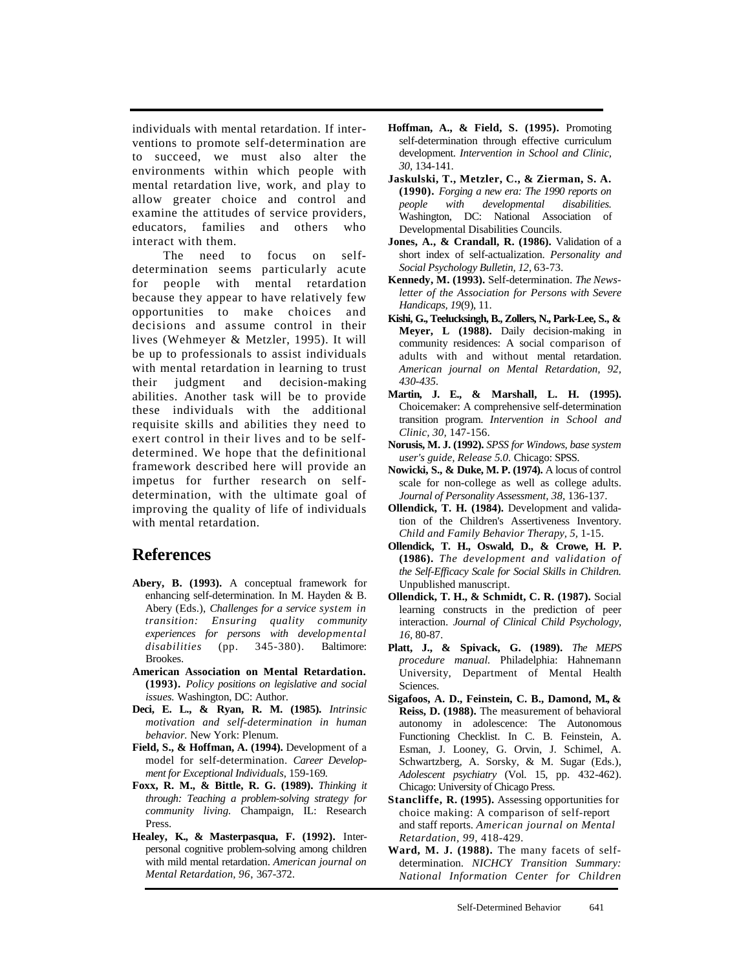individuals with mental retardation. If interventions to promote self-determination are to succeed, we must also alter the environments within which people with mental retardation live, work, and play to allow greater choice and control and examine the attitudes of service providers, educators, families and others who interact with them.

The need to focus on selfdetermination seems particularly acute for people with mental retardation because they appear to have relatively few opportunities to make choices and decisions and assume control in their lives (Wehmeyer & Metzler, 1995). It will be up to professionals to assist individuals with mental retardation in learning to trust their judgment and decision-making abilities. Another task will be to provide these individuals with the additional requisite skills and abilities they need to exert control in their lives and to be selfdetermined. We hope that the definitional framework described here will provide an impetus for further research on selfdetermination, with the ultimate goal of improving the quality of life of individuals with mental retardation.

# **References**

- **Abery, B. (1993).** A conceptual framework for enhancing self-determination. In M. Hayden & B. Abery (Eds.), *Challenges for a service system in transition: Ensuring quality community experiences for persons with developmental disabilities* (pp. 345-380). Baltimore: **Brookes**
- **American Association on Mental Retardation. (1993).** *Policy positions on legislative and social issues.* Washington, DC: Author.
- **Deci, E. L., & Ryan, R. M. (1985).** *Intrinsic motivation and self-determination in human behavior.* New York: Plenum.
- **Field, S., & Hoffman, A. (1994).** Development of a model for self-determination. *Career Development for Exceptional Individuals*, 159-169*.*
- **Foxx, R. M., & Bittle, R. G. (1989).** *Thinking it through: Teaching a problem-solving strategy for community living.* Champaign, IL: Research Press.
- **Healey, K., & Masterpasqua, F. (1992).** Interpersonal cognitive problem-solving among children with mild mental retardation. *American journal on Mental Retardation, 96*, 367-372.
- **Hoffman, A., & Field, S. (1995).** Promoting self-determination through effective curriculum development. *Intervention in School and Clinic, 30,* 134-141.
- **Jaskulski, T., Metzler, C., & Zierman, S. A. (1990).** *Forging a new era: The 1990 reports on people with developmental disabilities.*  Washington, DC: National Association of Developmental Disabilities Councils.
- **Jones, A., & Crandall, R. (1986).** Validation of a short index of self-actualization. *Personality and Social Psychology Bulletin, 12,* 63-73*.*
- **Kennedy, M. (1993).** Self-determination. *The Newsletter of the Association for Persons with Severe Handicaps, 19*(9), 11.
- **Kishi, G., Teelucksingh, B., Zollers, N., Park-Lee, S., & Meyer, L (1988).** Daily decision-making in community residences: A social comparison of adults with and without mental retardation. *American journal on Mental Retardation, 92, 430-435.*
- **Martin, J. E., & Marshall, L. H. (1995).** Choicemaker: A comprehensive self-determination transition program. *Intervention in School and Clinic, 30,* 147-156.
- **Norusis, M. J. (1992).** *SPSS for Windows, base system user's guide, Release 5.0.* Chicago: SPSS.
- **Nowicki, S., & Duke, M. P. (1974).** A locus of control scale for non-college as well as college adults. *Journal of Personality Assessment, 38,* 136-137.
- **Ollendick, T. H. (1984).** Development and validation of the Children's Assertiveness Inventory. *Child and Family Behavior Therapy, 5,* 1-15.
- **Ollendick, T. H., Oswald, D., & Crowe, H. P. (1986).** *The development and validation of the Self-Efficacy Scale for Social Skills in Children.*  Unpublished manuscript.
- **Ollendick, T. H., & Schmidt, C. R. (1987).** Social learning constructs in the prediction of peer interaction. *Journal of Clinical Child Psychology, 16,* 80-87.
- **Platt, J., & Spivack, G. (1989).** *The MEPS procedure manual.* Philadelphia: Hahnemann University, Department of Mental Health Sciences.
- **Sigafoos, A. D., Feinstein, C. B., Damond, M., & Reiss, D. (1988).** The measurement of behavioral autonomy in adolescence: The Autonomous Functioning Checklist. In C. B. Feinstein, A. Esman, J. Looney, G. Orvin, J. Schimel, A. Schwartzberg, A. Sorsky, & M. Sugar (Eds.), *Adolescent psychiatry* (Vol. 15, pp. 432-462). Chicago: University of Chicago Press.
- **Stancliffe, R. (1995).** Assessing opportunities for choice making: A comparison of self-report and staff reports. *American journal on Mental Retardation, 99*, 418-429*.*
- **Ward, M. J. (1988).** The many facets of selfdetermination. *NICHCY Transition Summary: National Information Center for Children*